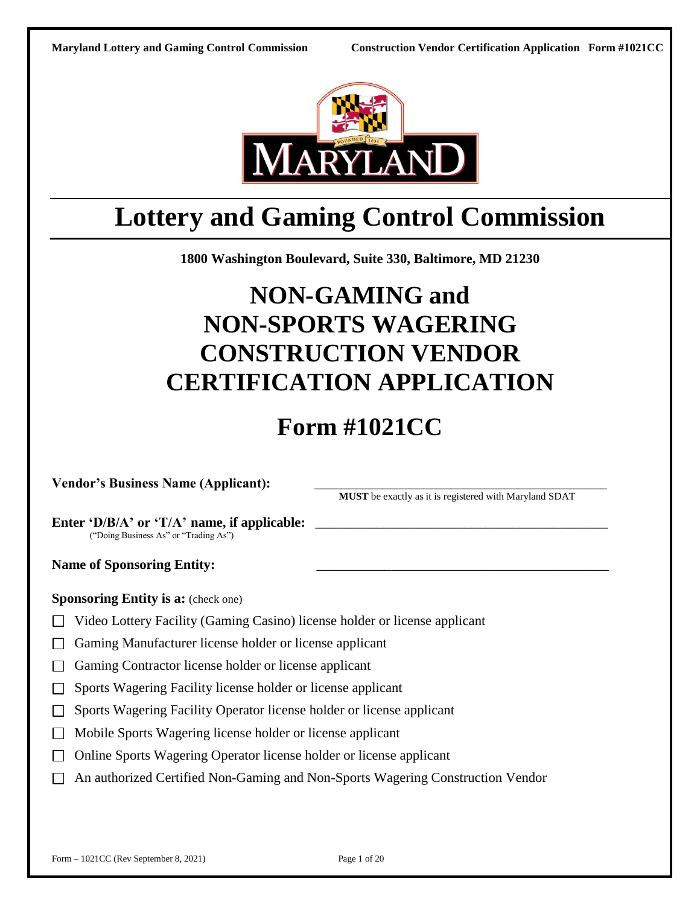

# **Lottery and Gaming Control Commission**

**1800 Washington Boulevard, Suite 330, Baltimore, MD 21230**

# **NON-GAMING and NON-SPORTS WAGERING CONSTRUCTION VENDOR CERTIFICATION APPLICATION**

# **Form #1021CC**

**Vendor's Business Name (Applicant):** \_\_\_\_\_\_\_\_\_\_\_\_\_\_\_\_\_\_\_\_\_\_\_\_\_\_\_\_\_\_\_\_\_\_\_\_\_\_\_\_\_\_\_

**MUST** be exactly as it is registered with Maryland SDAT

Enter **'D/B/A'** or **'T/A'** name, if applicable: ("Doing Business As" or "Trading As")

Name of Sponsoring Entity:

**Sponsoring Entity is a:** (check one)

- Video Lottery Facility (Gaming Casino) license holder or license applicant
- Gaming Manufacturer license holder or license applicant
- □ Gaming Contractor license holder or license applicant
- □ Sports Wagering Facility license holder or license applicant
- □ Sports Wagering Facility Operator license holder or license applicant
- Mobile Sports Wagering license holder or license applicant
- □ Online Sports Wagering Operator license holder or license applicant
- □ An authorized Certified Non-Gaming and Non-Sports Wagering Construction Vendor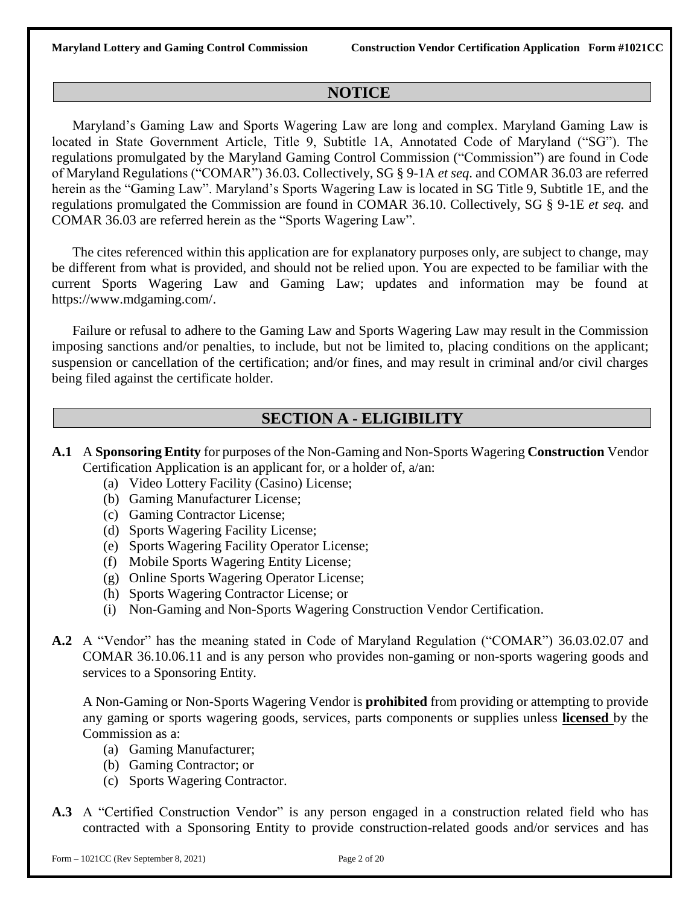### **NOTICE**

Maryland's Gaming Law and Sports Wagering Law are long and complex. Maryland Gaming Law is located in State Government Article, Title 9, Subtitle 1A, Annotated Code of Maryland ("SG"). The regulations promulgated by the Maryland Gaming Control Commission ("Commission") are found in Code of Maryland Regulations ("COMAR") 36.03. Collectively, SG § 9-1A *et seq*. and COMAR 36.03 are referred herein as the "Gaming Law". Maryland's Sports Wagering Law is located in SG Title 9, Subtitle 1E, and the regulations promulgated the Commission are found in COMAR 36.10. Collectively, SG § 9-1E *et seq.* and COMAR 36.03 are referred herein as the "Sports Wagering Law".

The cites referenced within this application are for explanatory purposes only, are subject to change, may be different from what is provided, and should not be relied upon. You are expected to be familiar with the current Sports Wagering Law and Gaming Law; updates and information may be found at https://www.mdgaming.com/.

Failure or refusal to adhere to the Gaming Law and Sports Wagering Law may result in the Commission imposing sanctions and/or penalties, to include, but not be limited to, placing conditions on the applicant; suspension or cancellation of the certification; and/or fines, and may result in criminal and/or civil charges being filed against the certificate holder.

### **SECTION A - ELIGIBILITY**

- **A.1** A **Sponsoring Entity** for purposes of the Non-Gaming and Non-Sports Wagering **Construction** Vendor Certification Application is an applicant for, or a holder of, a/an:
	- (a) Video Lottery Facility (Casino) License;
	- (b) Gaming Manufacturer License;
	- (c) Gaming Contractor License;
	- (d) Sports Wagering Facility License;
	- (e) Sports Wagering Facility Operator License;
	- (f) Mobile Sports Wagering Entity License;
	- (g) Online Sports Wagering Operator License;
	- (h) Sports Wagering Contractor License; or
	- (i) Non-Gaming and Non-Sports Wagering Construction Vendor Certification.
- **A.2** A "Vendor" has the meaning stated in Code of Maryland Regulation ("COMAR") 36.03.02.07 and COMAR 36.10.06.11 and is any person who provides non-gaming or non-sports wagering goods and services to a Sponsoring Entity.

A Non-Gaming or Non-Sports Wagering Vendor is **prohibited** from providing or attempting to provide any gaming or sports wagering goods, services, parts components or supplies unless **licensed** by the Commission as a:

- (a) Gaming Manufacturer;
- (b) Gaming Contractor; or
- (c) Sports Wagering Contractor.
- **A.3** A "Certified Construction Vendor" is any person engaged in a construction related field who has contracted with a Sponsoring Entity to provide construction-related goods and/or services and has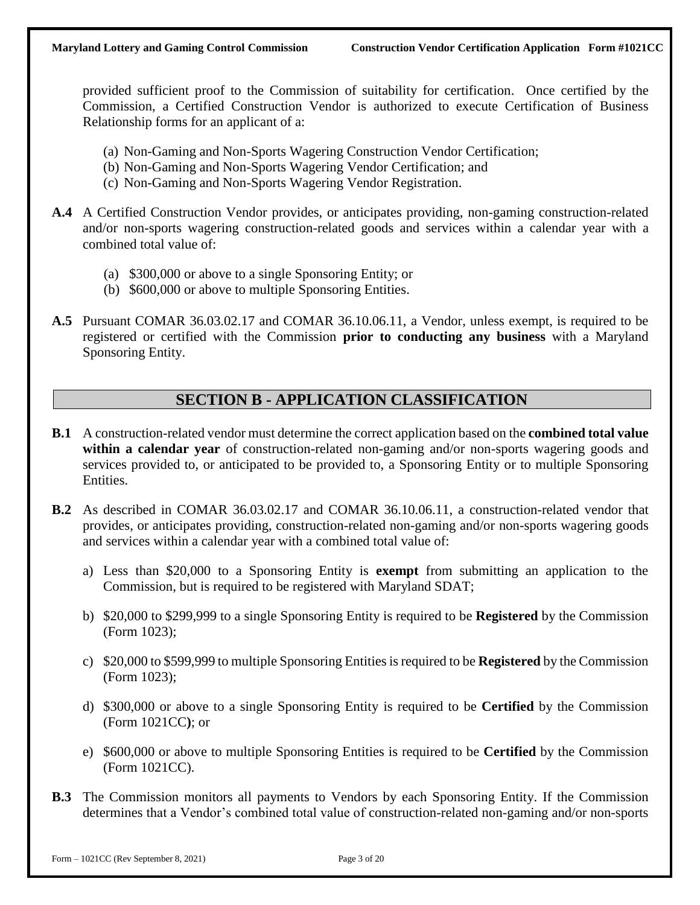provided sufficient proof to the Commission of suitability for certification. Once certified by the Commission, a Certified Construction Vendor is authorized to execute Certification of Business Relationship forms for an applicant of a:

- (a) Non-Gaming and Non-Sports Wagering Construction Vendor Certification;
- (b) Non-Gaming and Non-Sports Wagering Vendor Certification; and
- (c) Non-Gaming and Non-Sports Wagering Vendor Registration.
- **A.4** A Certified Construction Vendor provides, or anticipates providing, non-gaming construction-related and/or non-sports wagering construction-related goods and services within a calendar year with a combined total value of:
	- (a) \$300,000 or above to a single Sponsoring Entity; or
	- (b) \$600,000 or above to multiple Sponsoring Entities.
- **A.5** Pursuant COMAR 36.03.02.17 and COMAR 36.10.06.11, a Vendor, unless exempt, is required to be registered or certified with the Commission **prior to conducting any business** with a Maryland Sponsoring Entity.

# **SECTION B - APPLICATION CLASSIFICATION**

- **B.1** A construction-related vendor must determine the correct application based on the **combined total value within a calendar year** of construction-related non-gaming and/or non-sports wagering goods and services provided to, or anticipated to be provided to, a Sponsoring Entity or to multiple Sponsoring Entities.
- **B.2** As described in COMAR 36.03.02.17 and COMAR 36.10.06.11, a construction-related vendor that provides, or anticipates providing, construction-related non-gaming and/or non-sports wagering goods and services within a calendar year with a combined total value of:
	- a) Less than \$20,000 to a Sponsoring Entity is **exempt** from submitting an application to the Commission, but is required to be registered with Maryland SDAT;
	- b) \$20,000 to \$299,999 to a single Sponsoring Entity is required to be **Registered** by the Commission (Form 1023);
	- c) \$20,000 to \$599,999 to multiple Sponsoring Entities is required to be **Registered** by the Commission (Form 1023);
	- d) \$300,000 or above to a single Sponsoring Entity is required to be **Certified** by the Commission (Form 1021CC**)**; or
	- e) \$600,000 or above to multiple Sponsoring Entities is required to be **Certified** by the Commission (Form 1021CC).
- **B.3** The Commission monitors all payments to Vendors by each Sponsoring Entity. If the Commission determines that a Vendor's combined total value of construction-related non-gaming and/or non-sports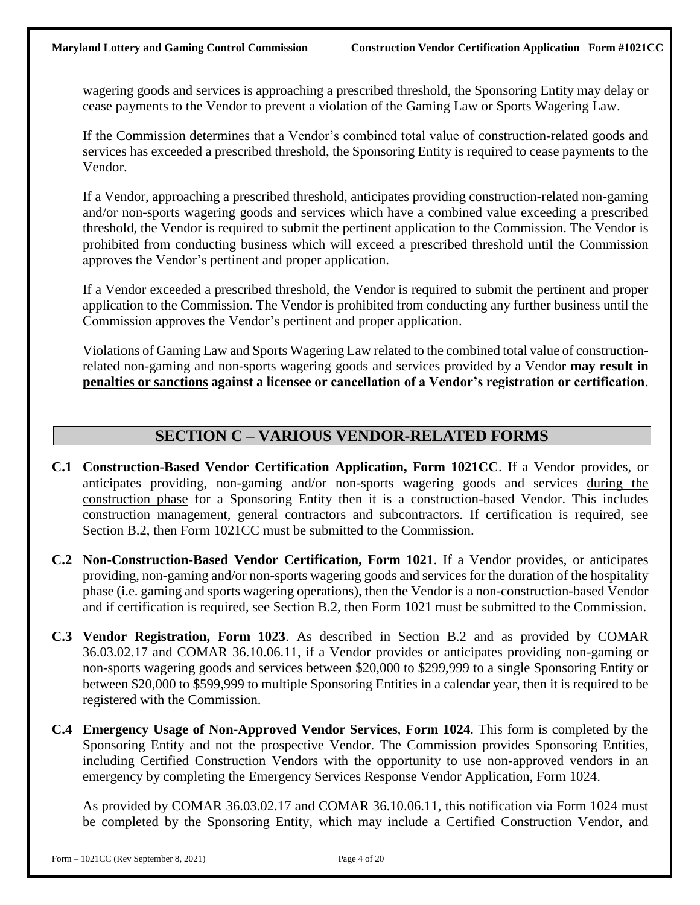wagering goods and services is approaching a prescribed threshold, the Sponsoring Entity may delay or cease payments to the Vendor to prevent a violation of the Gaming Law or Sports Wagering Law.

If the Commission determines that a Vendor's combined total value of construction-related goods and services has exceeded a prescribed threshold, the Sponsoring Entity is required to cease payments to the Vendor.

If a Vendor, approaching a prescribed threshold, anticipates providing construction-related non-gaming and/or non-sports wagering goods and services which have a combined value exceeding a prescribed threshold, the Vendor is required to submit the pertinent application to the Commission. The Vendor is prohibited from conducting business which will exceed a prescribed threshold until the Commission approves the Vendor's pertinent and proper application.

If a Vendor exceeded a prescribed threshold, the Vendor is required to submit the pertinent and proper application to the Commission. The Vendor is prohibited from conducting any further business until the Commission approves the Vendor's pertinent and proper application.

Violations of Gaming Law and Sports Wagering Law related to the combined total value of constructionrelated non-gaming and non-sports wagering goods and services provided by a Vendor **may result in penalties or sanctions against a licensee or cancellation of a Vendor's registration or certification**.

# **SECTION C – VARIOUS VENDOR-RELATED FORMS**

- **C.1 Construction-Based Vendor Certification Application, Form 1021CC**. If a Vendor provides, or anticipates providing, non-gaming and/or non-sports wagering goods and services during the construction phase for a Sponsoring Entity then it is a construction-based Vendor. This includes construction management, general contractors and subcontractors. If certification is required, see Section B.2, then Form 1021CC must be submitted to the Commission.
- **C.2 Non-Construction-Based Vendor Certification, Form 1021**. If a Vendor provides, or anticipates providing, non-gaming and/or non-sports wagering goods and services for the duration of the hospitality phase (i.e. gaming and sports wagering operations), then the Vendor is a non-construction-based Vendor and if certification is required, see Section B.2, then Form 1021 must be submitted to the Commission.
- **C.3 Vendor Registration, Form 1023**. As described in Section B.2 and as provided by COMAR 36.03.02.17 and COMAR 36.10.06.11, if a Vendor provides or anticipates providing non-gaming or non-sports wagering goods and services between \$20,000 to \$299,999 to a single Sponsoring Entity or between \$20,000 to \$599,999 to multiple Sponsoring Entities in a calendar year, then it is required to be registered with the Commission.
- **C.4 Emergency Usage of Non-Approved Vendor Services**, **Form 1024**. This form is completed by the Sponsoring Entity and not the prospective Vendor. The Commission provides Sponsoring Entities, including Certified Construction Vendors with the opportunity to use non-approved vendors in an emergency by completing the Emergency Services Response Vendor Application, Form 1024.

As provided by COMAR 36.03.02.17 and COMAR 36.10.06.11, this notification via Form 1024 must be completed by the Sponsoring Entity, which may include a Certified Construction Vendor, and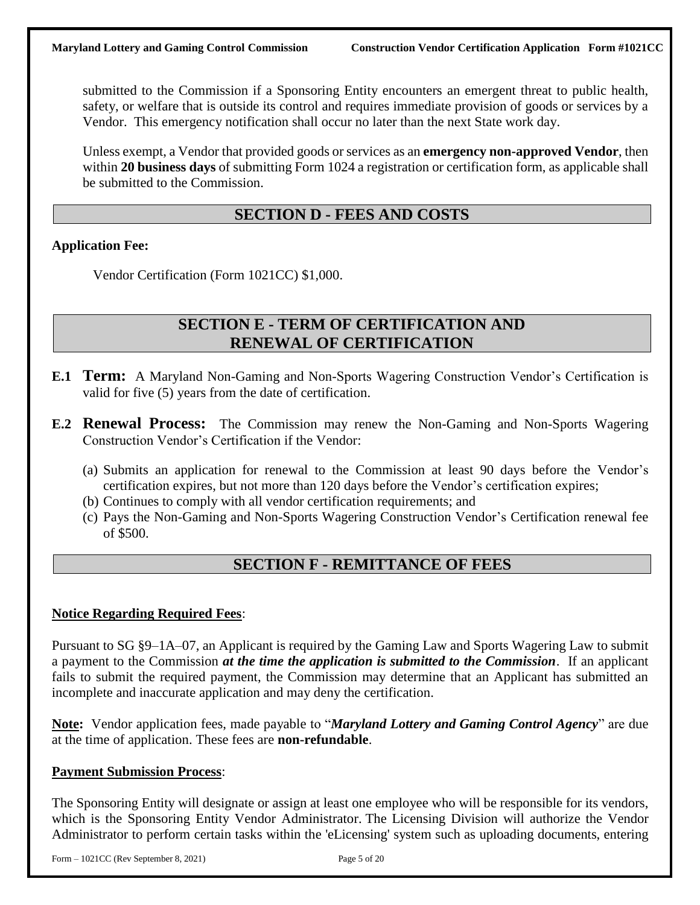submitted to the Commission if a Sponsoring Entity encounters an emergent threat to public health, safety, or welfare that is outside its control and requires immediate provision of goods or services by a Vendor. This emergency notification shall occur no later than the next State work day.

Unless exempt, a Vendor that provided goods or services as an **emergency non-approved Vendor**, then within **20 business days** of submitting Form 1024 a registration or certification form, as applicable shall be submitted to the Commission.

## **SECTION D - FEES AND COSTS**

### **Application Fee:**

Vendor Certification (Form 1021CC) \$1,000.

### **SECTION E - TERM OF CERTIFICATION AND RENEWAL OF CERTIFICATION**

- **E.1 Term:** A Maryland Non-Gaming and Non-Sports Wagering Construction Vendor's Certification is valid for five (5) years from the date of certification.
- **E.2 Renewal Process:** The Commission may renew the Non-Gaming and Non-Sports Wagering Construction Vendor's Certification if the Vendor:
	- (a) Submits an application for renewal to the Commission at least 90 days before the Vendor's certification expires, but not more than 120 days before the Vendor's certification expires;
	- (b) Continues to comply with all vendor certification requirements; and
	- (c) Pays the Non-Gaming and Non-Sports Wagering Construction Vendor's Certification renewal fee of \$500.

### **SECTION F - REMITTANCE OF FEES**

### **Notice Regarding Required Fees**:

Pursuant to SG §9–1A–07, an Applicant is required by the Gaming Law and Sports Wagering Law to submit a payment to the Commission *at the time the application is submitted to the Commission*. If an applicant fails to submit the required payment, the Commission may determine that an Applicant has submitted an incomplete and inaccurate application and may deny the certification.

**Note:** Vendor application fees, made payable to "*Maryland Lottery and Gaming Control Agency*" are due at the time of application. These fees are **non-refundable**.

### **Payment Submission Process**:

The Sponsoring Entity will designate or assign at least one employee who will be responsible for its vendors, which is the Sponsoring Entity Vendor Administrator. The Licensing Division will authorize the Vendor Administrator to perform certain tasks within the 'eLicensing' system such as uploading documents, entering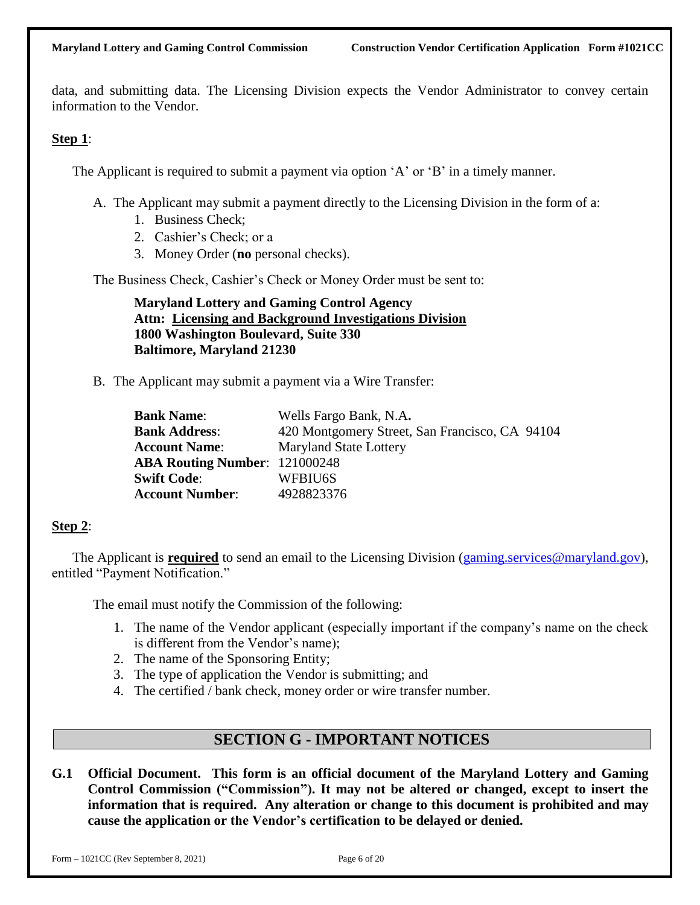data, and submitting data. The Licensing Division expects the Vendor Administrator to convey certain information to the Vendor.

### **Step 1**:

The Applicant is required to submit a payment via option 'A' or 'B' in a timely manner.

- A. The Applicant may submit a payment directly to the Licensing Division in the form of a:
	- 1. Business Check;
	- 2. Cashier's Check; or a
	- 3. Money Order (**no** personal checks).

The Business Check, Cashier's Check or Money Order must be sent to:

**Maryland Lottery and Gaming Control Agency Attn: Licensing and Background Investigations Division 1800 Washington Boulevard, Suite 330 Baltimore, Maryland 21230** 

B. The Applicant may submit a payment via a Wire Transfer:

| <b>Bank Name:</b>                    | Wells Fargo Bank, N.A.                         |
|--------------------------------------|------------------------------------------------|
| <b>Bank Address:</b>                 | 420 Montgomery Street, San Francisco, CA 94104 |
| <b>Account Name:</b>                 | <b>Maryland State Lottery</b>                  |
| <b>ABA Routing Number: 121000248</b> |                                                |
| <b>Swift Code:</b>                   | WFBIU6S                                        |
| <b>Account Number:</b>               | 4928823376                                     |

### **Step 2**:

The Applicant is **required** to send an email to the Licensing Division [\(gaming.services@maryland.gov\)](mailto:gaming.services@maryland.gov), entitled "Payment Notification."

The email must notify the Commission of the following:

- 1. The name of the Vendor applicant (especially important if the company's name on the check is different from the Vendor's name);
- 2. The name of the Sponsoring Entity;
- 3. The type of application the Vendor is submitting; and
- 4. The certified / bank check, money order or wire transfer number.

# **SECTION G - IMPORTANT NOTICES**

**G.1 Official Document. This form is an official document of the Maryland Lottery and Gaming Control Commission ("Commission"). It may not be altered or changed, except to insert the information that is required. Any alteration or change to this document is prohibited and may cause the application or the Vendor's certification to be delayed or denied.**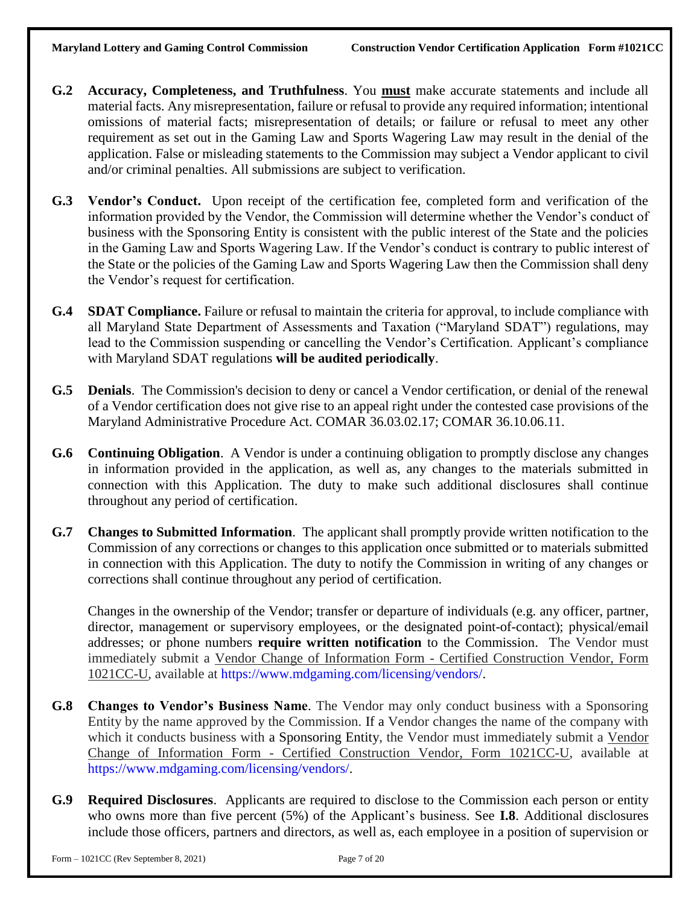- **G.2 Accuracy, Completeness, and Truthfulness**. You **must** make accurate statements and include all material facts. Any misrepresentation, failure or refusal to provide any required information; intentional omissions of material facts; misrepresentation of details; or failure or refusal to meet any other requirement as set out in the Gaming Law and Sports Wagering Law may result in the denial of the application. False or misleading statements to the Commission may subject a Vendor applicant to civil and/or criminal penalties. All submissions are subject to verification.
- **G.3 Vendor's Conduct.** Upon receipt of the certification fee, completed form and verification of the information provided by the Vendor, the Commission will determine whether the Vendor's conduct of business with the Sponsoring Entity is consistent with the public interest of the State and the policies in the Gaming Law and Sports Wagering Law. If the Vendor's conduct is contrary to public interest of the State or the policies of the Gaming Law and Sports Wagering Law then the Commission shall deny the Vendor's request for certification.
- **G.4 SDAT Compliance.** Failure or refusal to maintain the criteria for approval, to include compliance with all Maryland State Department of Assessments and Taxation ("Maryland SDAT") regulations, may lead to the Commission suspending or cancelling the Vendor's Certification. Applicant's compliance with Maryland SDAT regulations **will be audited periodically**.
- **G.5 Denials**. The Commission's decision to deny or cancel a Vendor certification, or denial of the renewal of a Vendor certification does not give rise to an appeal right under the contested case provisions of the Maryland Administrative Procedure Act. COMAR 36.03.02.17; COMAR 36.10.06.11.
- **G.6 Continuing Obligation**. A Vendor is under a continuing obligation to promptly disclose any changes in information provided in the application, as well as, any changes to the materials submitted in connection with this Application. The duty to make such additional disclosures shall continue throughout any period of certification.
- **G.7 Changes to Submitted Information**. The applicant shall promptly provide written notification to the Commission of any corrections or changes to this application once submitted or to materials submitted in connection with this Application. The duty to notify the Commission in writing of any changes or corrections shall continue throughout any period of certification.

Changes in the ownership of the Vendor; transfer or departure of individuals (e.g. any officer, partner, director, management or supervisory employees, or the designated point-of-contact); physical/email addresses; or phone numbers **require written notification** to the Commission. The Vendor must immediately submit a Vendor Change of Information Form - Certified Construction Vendor, Form 1021CC-U, available at https://www.mdgaming.com/licensing/vendors/.

- **G.8 Changes to Vendor's Business Name**. The Vendor may only conduct business with a Sponsoring Entity by the name approved by the Commission. If a Vendor changes the name of the company with which it conducts business with a Sponsoring Entity, the Vendor must immediately submit a Vendor Change of Information Form - Certified Construction Vendor, Form 1021CC-U, available at https://www.mdgaming.com/licensing/vendors/.
- **G.9 Required Disclosures**. Applicants are required to disclose to the Commission each person or entity who owns more than five percent (5%) of the Applicant's business. See **I.8**. Additional disclosures include those officers, partners and directors, as well as, each employee in a position of supervision or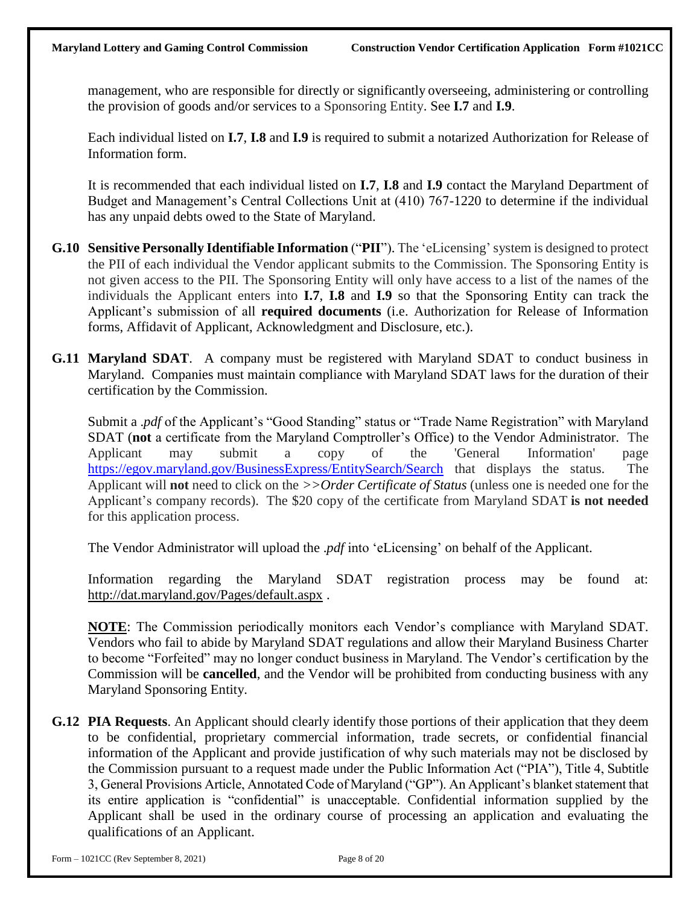management, who are responsible for directly or significantly overseeing, administering or controlling the provision of goods and/or services to a Sponsoring Entity. See **I.7** and **I.9**.

Each individual listed on **I.7**, **I.8** and **I.9** is required to submit a notarized Authorization for Release of Information form.

It is recommended that each individual listed on **I.7**, **I.8** and **I.9** contact the Maryland Department of Budget and Management's Central Collections Unit at (410) 767-1220 to determine if the individual has any unpaid debts owed to the State of Maryland.

- **G.10 Sensitive Personally Identifiable Information** ("**PII**"). The 'eLicensing'system is designed to protect the PII of each individual the Vendor applicant submits to the Commission. The Sponsoring Entity is not given access to the PII. The Sponsoring Entity will only have access to a list of the names of the individuals the Applicant enters into **I.7**, **I.8** and **I.9** so that the Sponsoring Entity can track the Applicant's submission of all **required documents** (i.e. Authorization for Release of Information forms, Affidavit of Applicant, Acknowledgment and Disclosure, etc.).
- **G.11 Maryland SDAT**. A company must be registered with Maryland SDAT to conduct business in Maryland. Companies must maintain compliance with Maryland SDAT laws for the duration of their certification by the Commission.

Submit a .*pdf* of the Applicant's "Good Standing" status or "Trade Name Registration" with Maryland SDAT (**not** a certificate from the Maryland Comptroller's Office) to the Vendor Administrator. The Applicant may submit a copy of the 'General Information' page <https://egov.maryland.gov/BusinessExpress/EntitySearch/Search> that displays the status. The Applicant will **not** need to click on the *>>Order Certificate of Status* (unless one is needed one for the Applicant's company records). The \$20 copy of the certificate from Maryland SDAT **is not needed** for this application process.

The Vendor Administrator will upload the .*pdf* into 'eLicensing' on behalf of the Applicant.

Information regarding the Maryland SDAT registration process may be found at: <http://dat.maryland.gov/Pages/default.aspx> .

**NOTE**: The Commission periodically monitors each Vendor's compliance with Maryland SDAT. Vendors who fail to abide by Maryland SDAT regulations and allow their Maryland Business Charter to become "Forfeited" may no longer conduct business in Maryland. The Vendor's certification by the Commission will be **cancelled**, and the Vendor will be prohibited from conducting business with any Maryland Sponsoring Entity.

**G.12 PIA Requests**. An Applicant should clearly identify those portions of their application that they deem to be confidential, proprietary commercial information, trade secrets, or confidential financial information of the Applicant and provide justification of why such materials may not be disclosed by the Commission pursuant to a request made under the Public Information Act ("PIA"), Title 4, Subtitle 3, General Provisions Article, Annotated Code of Maryland ("GP"). An Applicant's blanket statement that its entire application is "confidential" is unacceptable. Confidential information supplied by the Applicant shall be used in the ordinary course of processing an application and evaluating the qualifications of an Applicant.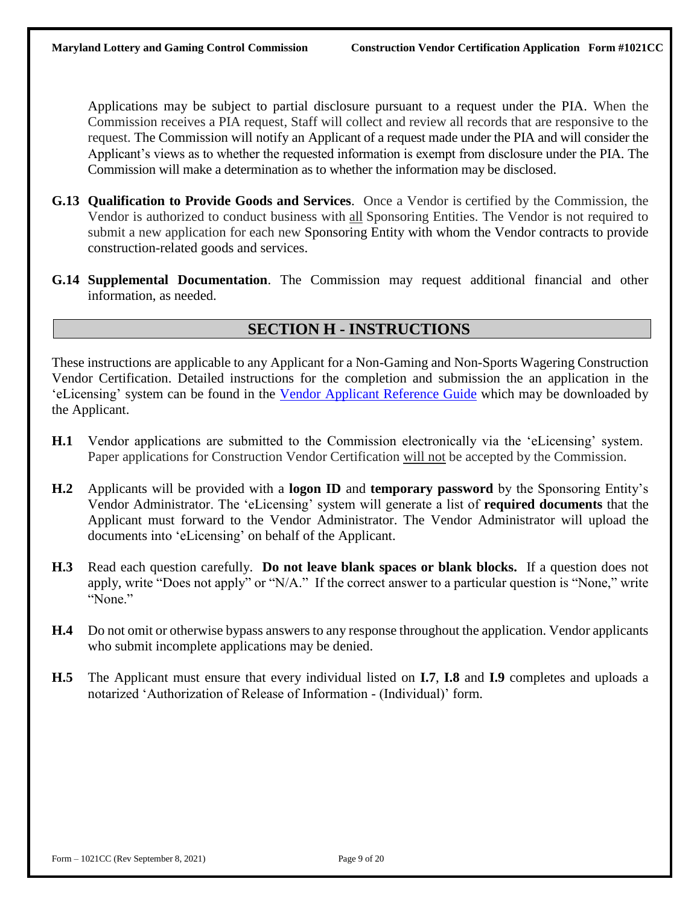Applications may be subject to partial disclosure pursuant to a request under the PIA. When the Commission receives a PIA request, Staff will collect and review all records that are responsive to the request. The Commission will notify an Applicant of a request made under the PIA and will consider the Applicant's views as to whether the requested information is exempt from disclosure under the PIA. The Commission will make a determination as to whether the information may be disclosed.

- **G.13 Qualification to Provide Goods and Services**. Once a Vendor is certified by the Commission, the Vendor is authorized to conduct business with all Sponsoring Entities. The Vendor is not required to submit a new application for each new Sponsoring Entity with whom the Vendor contracts to provide construction-related goods and services.
- **G.14 Supplemental Documentation**. The Commission may request additional financial and other information, as needed.

## **SECTION H - INSTRUCTIONS**

These instructions are applicable to any Applicant for a Non-Gaming and Non-Sports Wagering Construction Vendor Certification. Detailed instructions for the completion and submission the an application in the 'eLicensing' system can be found in the Vendor Applicant [Reference](https://www.mdgaming.com/wp-content/uploads/2021/04/Vendor-Applicant-Reference-Guide.pdf) Guide which may be downloaded by the Applicant.

- **H.1** Vendor applications are submitted to the Commission electronically via the 'eLicensing' system. Paper applications for Construction Vendor Certification will not be accepted by the Commission.
- **H.2** Applicants will be provided with a **logon ID** and **temporary password** by the Sponsoring Entity's Vendor Administrator. The 'eLicensing' system will generate a list of **required documents** that the Applicant must forward to the Vendor Administrator. The Vendor Administrator will upload the documents into 'eLicensing' on behalf of the Applicant.
- **H.3** Read each question carefully. **Do not leave blank spaces or blank blocks.** If a question does not apply, write "Does not apply" or "N/A." If the correct answer to a particular question is "None," write "None."
- **H.4** Do not omit or otherwise bypass answers to any response throughout the application. Vendor applicants who submit incomplete applications may be denied.
- **H.5** The Applicant must ensure that every individual listed on **I.7**, **I.8** and **I.9** completes and uploads a notarized 'Authorization of Release of Information - (Individual)' form.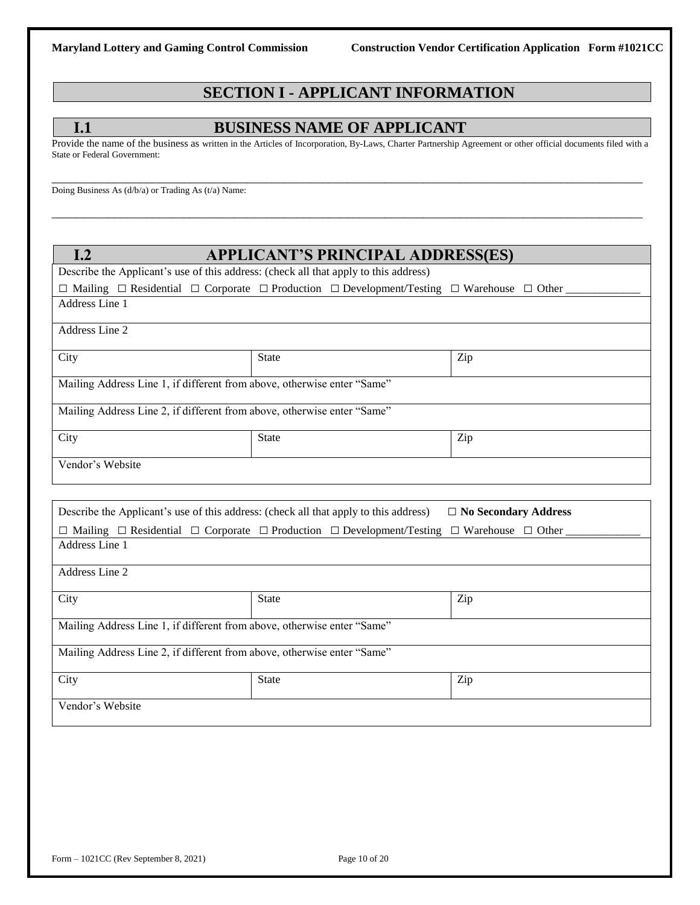# **SECTION I - APPLICANT INFORMATION**

### **I.1 BUSINESS NAME OF APPLICANT**

Provide the name of the business as written in the Articles of Incorporation, By-Laws, Charter Partnership Agreement or other official documents filed with a State or Federal Government:

\_\_\_\_\_\_\_\_\_\_\_\_\_\_\_\_\_\_\_\_\_\_\_\_\_\_\_\_\_\_\_\_\_\_\_\_\_\_\_\_\_\_\_\_\_\_\_\_\_\_\_\_\_\_\_\_\_\_\_\_\_\_\_\_\_\_\_\_\_\_\_\_\_\_\_\_\_\_\_\_\_\_\_\_\_\_\_\_\_\_\_\_\_\_

\_\_\_\_\_\_\_\_\_\_\_\_\_\_\_\_\_\_\_\_\_\_\_\_\_\_\_\_\_\_\_\_\_\_\_\_\_\_\_\_\_\_\_\_\_\_\_\_\_\_\_\_\_\_\_\_\_\_\_\_\_\_\_\_\_\_\_\_\_\_\_\_\_\_\_\_\_\_\_\_\_\_\_\_\_\_\_\_\_\_\_\_\_\_

Doing Business As (d/b/a) or Trading As (t/a) Name:

| I.2                                                                     | <b>APPLICANT'S PRINCIPAL ADDRESS(ES)</b>                                                                                      |                             |  |  |  |
|-------------------------------------------------------------------------|-------------------------------------------------------------------------------------------------------------------------------|-----------------------------|--|--|--|
|                                                                         | Describe the Applicant's use of this address: (check all that apply to this address)                                          |                             |  |  |  |
|                                                                         | $\Box$ Mailing $\Box$ Residential $\Box$ Corporate $\Box$ Production $\Box$ Development/Testing $\Box$ Warehouse $\Box$ Other |                             |  |  |  |
| Address Line 1                                                          |                                                                                                                               |                             |  |  |  |
|                                                                         |                                                                                                                               |                             |  |  |  |
| Address Line 2                                                          |                                                                                                                               |                             |  |  |  |
| City                                                                    | State                                                                                                                         | Zip                         |  |  |  |
| Mailing Address Line 1, if different from above, otherwise enter "Same" |                                                                                                                               |                             |  |  |  |
| Mailing Address Line 2, if different from above, otherwise enter "Same" |                                                                                                                               |                             |  |  |  |
| City                                                                    | State                                                                                                                         | Zip                         |  |  |  |
| Vendor's Website                                                        |                                                                                                                               |                             |  |  |  |
|                                                                         |                                                                                                                               |                             |  |  |  |
|                                                                         | Describe the Applicant's use of this address: (check all that apply to this address)                                          | $\Box$ No Secondary Address |  |  |  |
|                                                                         | $\Box$ Mailing $\Box$ Residential $\Box$ Corporate $\Box$ Production $\Box$ Development/Testing $\Box$ Warehouse $\Box$ Other |                             |  |  |  |
| Address Line 1                                                          |                                                                                                                               |                             |  |  |  |
| Address Line 2                                                          |                                                                                                                               |                             |  |  |  |
| City                                                                    | <b>State</b>                                                                                                                  | Zip                         |  |  |  |
| Mailing Address Line 1, if different from above, otherwise enter "Same" |                                                                                                                               |                             |  |  |  |
| Mailing Address Line 2, if different from above, otherwise enter "Same" |                                                                                                                               |                             |  |  |  |
| City                                                                    | State                                                                                                                         | Zip                         |  |  |  |
| Vendor's Website                                                        |                                                                                                                               |                             |  |  |  |
|                                                                         |                                                                                                                               |                             |  |  |  |
|                                                                         |                                                                                                                               |                             |  |  |  |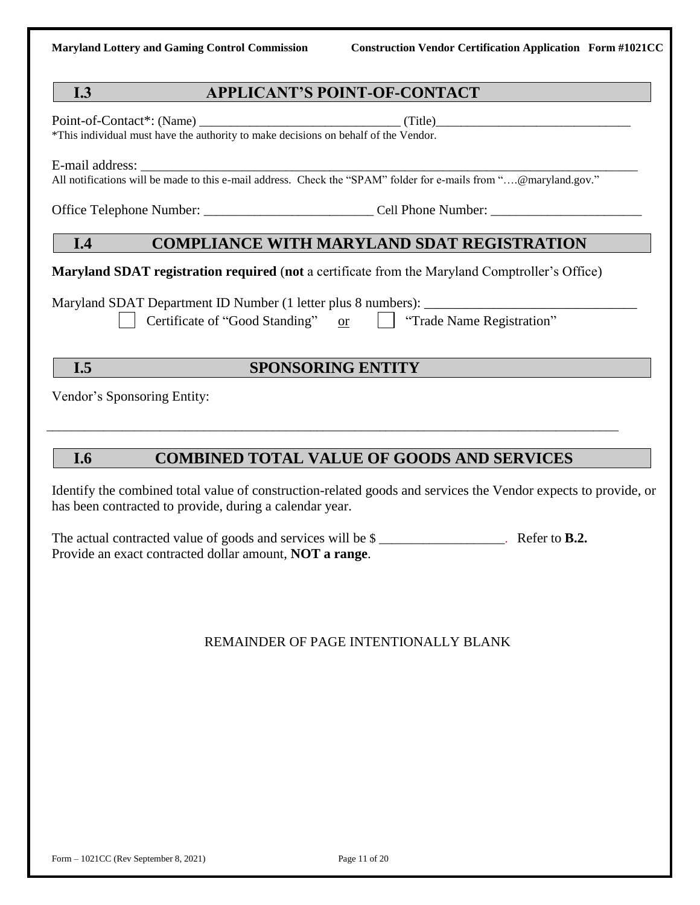## **I.3 APPLICANT'S POINT-OF-CONTACT**

Point-of-Contact\*: (Name) \_\_\_\_\_\_\_\_\_\_\_\_\_\_\_\_\_\_\_\_\_\_\_\_\_\_\_\_\_\_\_\_ (Title)\_\_\_\_\_\_\_\_\_\_\_\_\_\_\_\_\_\_\_\_\_\_\_\_\_\_\_\_\_\_\_

\*This individual must have the authority to make decisions on behalf of the Vendor.

E-mail address:

All notifications will be made to this e-mail address. Check the "SPAM" folder for e-mails from "….@maryland.gov."

Office Telephone Number:  $\Box$  Cell Phone Number:

### **I.4 COMPLIANCE WITH MARYLAND SDAT REGISTRATION**

**Maryland SDAT registration required** (**not** a certificate from the Maryland Comptroller's Office)

Maryland SDAT Department ID Number (1 letter plus 8 numbers):

Certificate of "Good Standing" or  $\parallel$  Trade Name Registration"

# **I.5 SPONSORING ENTITY**

\_\_\_\_\_\_\_\_\_\_\_\_\_\_\_\_\_\_\_\_\_\_\_\_\_\_\_\_\_\_\_\_\_\_\_\_\_\_\_\_\_\_\_\_\_\_\_\_\_\_\_\_\_\_\_\_\_\_\_\_\_\_\_\_\_\_\_\_\_\_\_\_\_\_\_\_\_\_\_\_\_\_\_\_\_\_\_\_\_\_\_

Vendor's Sponsoring Entity:

# **I.6 COMBINED TOTAL VALUE OF GOODS AND SERVICES**

Identify the combined total value of construction-related goods and services the Vendor expects to provide, or has been contracted to provide, during a calendar year.

The actual contracted value of goods and services will be  $\frac{1}{2}$  \_\_\_\_\_\_\_\_\_\_\_\_\_\_\_\_. Refer to **B.2.** Provide an exact contracted dollar amount, **NOT a range**.

### REMAINDER OF PAGE INTENTIONALLY BLANK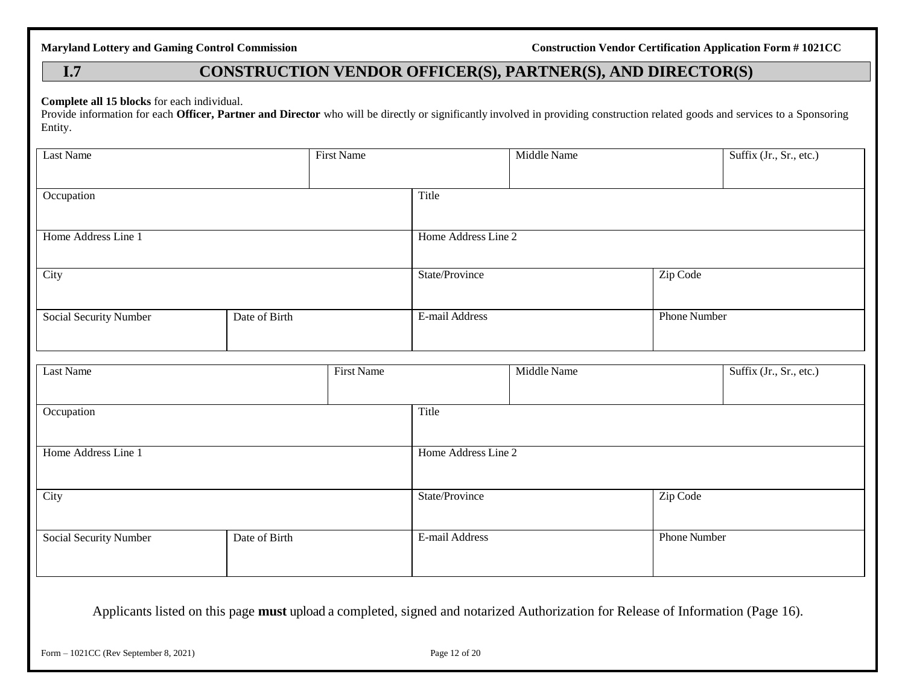# **I.7 CONSTRUCTION VENDOR OFFICER(S), PARTNER(S), AND DIRECTOR(S)**

**Complete all 15 blocks** for each individual.

Provide information for each **Officer, Partner and Director** who will be directly or significantly involved in providing construction related goods and services to a Sponsoring Entity.

| Last Name              |               | <b>First Name</b> |                     | Middle Name |                     | Suffix (Jr., Sr., etc.) |
|------------------------|---------------|-------------------|---------------------|-------------|---------------------|-------------------------|
| Occupation             |               |                   | Title               |             |                     |                         |
| Home Address Line 1    |               |                   | Home Address Line 2 |             |                     |                         |
| City                   |               |                   | State/Province      |             | Zip Code            |                         |
| Social Security Number | Date of Birth |                   | E-mail Address      |             | <b>Phone Number</b> |                         |
| Last Name              |               | <b>First Name</b> |                     | Middle Name |                     | Suffix (Jr., Sr., etc.) |
| Occupation             |               |                   | Title               |             |                     |                         |
| Home Address Line 1    |               |                   | Home Address Line 2 |             |                     |                         |
| City                   |               |                   | State/Province      |             | Zip Code            |                         |
| Social Security Number | Date of Birth |                   | E-mail Address      |             | Phone Number        |                         |

Applicants listed on this page **must** upload a completed, signed and notarized Authorization for Release of Information (Page 16).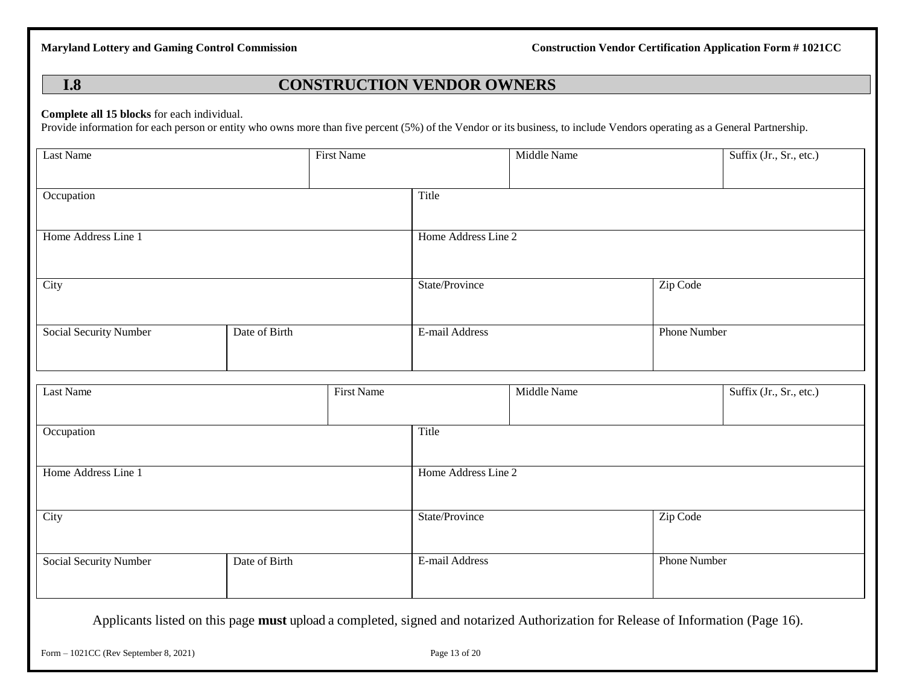### **I.8 CONSTRUCTION VENDOR OWNERS**

### **Complete all 15 blocks** for each individual.

Provide information for each person or entity who owns more than five percent (5%) of the Vendor or its business, to include Vendors operating as a General Partnership.

| <b>Last Name</b>       |               | <b>First Name</b> |                     | Middle Name |                     | Suffix (Jr., Sr., etc.) |
|------------------------|---------------|-------------------|---------------------|-------------|---------------------|-------------------------|
| Occupation             |               |                   | Title               |             |                     |                         |
| Home Address Line 1    |               |                   | Home Address Line 2 |             |                     |                         |
| City                   |               |                   | State/Province      |             | Zip Code            |                         |
| Social Security Number | Date of Birth |                   | E-mail Address      |             | <b>Phone Number</b> |                         |
| <b>Last Name</b>       |               | <b>First Name</b> |                     | Middle Name |                     | Suffix (Jr., Sr., etc.) |
|                        |               |                   |                     |             |                     |                         |
| Occupation             |               |                   | Title               |             |                     |                         |
| Home Address Line 1    |               |                   | Home Address Line 2 |             |                     |                         |
| City                   |               |                   | State/Province      |             | Zip Code            |                         |
| Social Security Number | Date of Birth |                   | E-mail Address      |             | Phone Number        |                         |

Applicants listed on this page **must** upload a completed, signed and notarized Authorization for Release of Information (Page 16).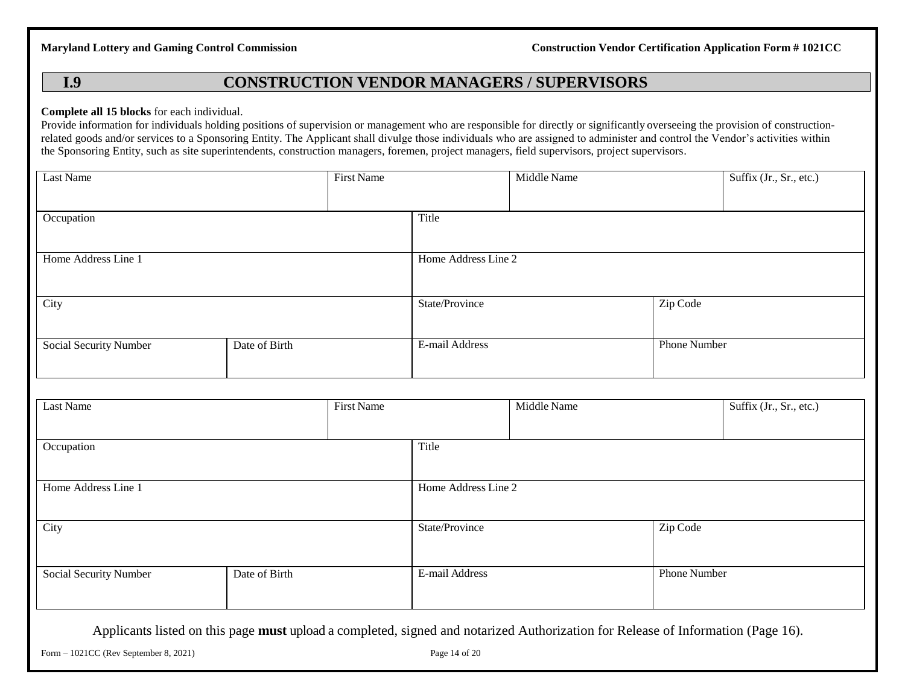## **I.9 CONSTRUCTION VENDOR MANAGERS / SUPERVISORS**

### **Complete all 15 blocks** for each individual.

Provide information for individuals holding positions of supervision or management who are responsible for directly or significantly overseeing the provision of constructionrelated goods and/or services to a Sponsoring Entity. The Applicant shall divulge those individuals who are assigned to administer and control the Vendor's activities within the Sponsoring Entity, such as site superintendents, construction managers, foremen, project managers, field supervisors, project supervisors.

| Last Name              |               | <b>First Name</b> |                     | Middle Name |                     | Suffix (Jr., Sr., etc.) |
|------------------------|---------------|-------------------|---------------------|-------------|---------------------|-------------------------|
| Occupation             |               |                   | Title               |             |                     |                         |
| Home Address Line 1    |               |                   | Home Address Line 2 |             |                     |                         |
| City                   |               |                   | State/Province      |             | Zip Code            |                         |
| Social Security Number | Date of Birth |                   | E-mail Address      |             | Phone Number        |                         |
|                        |               |                   |                     |             |                     |                         |
| Last Name              |               | <b>First Name</b> |                     | Middle Name |                     | Suffix (Jr., Sr., etc.) |
| Occupation             |               |                   | Title               |             |                     |                         |
| Home Address Line 1    |               |                   | Home Address Line 2 |             |                     |                         |
| City                   |               |                   | State/Province      |             | Zip Code            |                         |
| Social Security Number | Date of Birth |                   | E-mail Address      |             | <b>Phone Number</b> |                         |

Applicants listed on this page **must** upload a completed, signed and notarized Authorization for Release of Information (Page 16).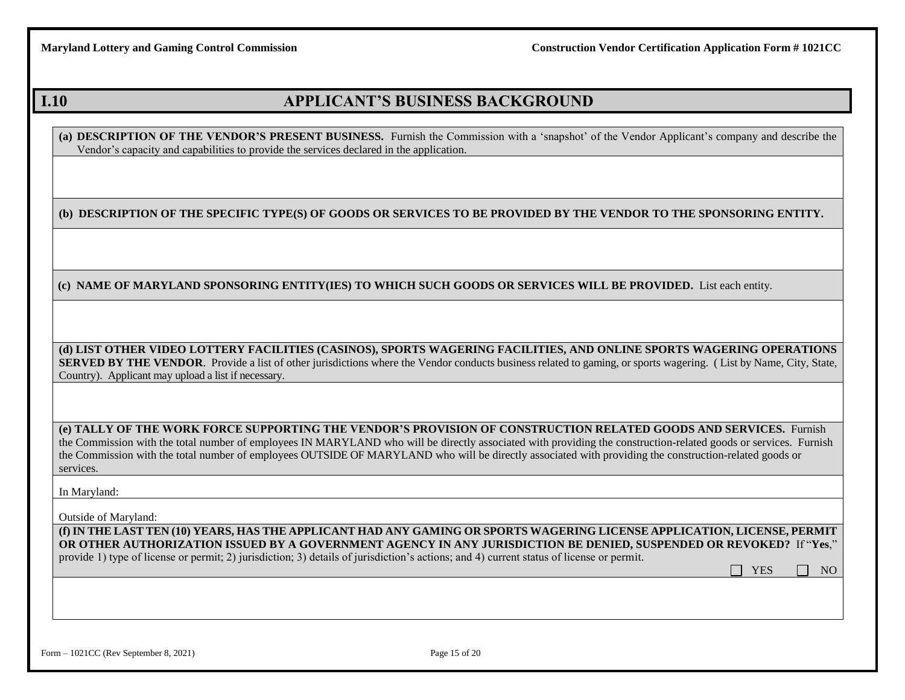$\Box$  YES  $\Box$  NO

# **I.10 APPLICANT'S BUSINESS BACKGROUND**

**(a) DESCRIPTION OF THE VENDOR'S PRESENT BUSINESS.** Furnish the Commission with a 'snapshot' of the Vendor Applicant's company and describe the Vendor's capacity and capabilities to provide the services declared in the application.

**(b) DESCRIPTION OF THE SPECIFIC TYPE(S) OF GOODS OR SERVICES TO BE PROVIDED BY THE VENDOR TO THE SPONSORING ENTITY.** 

**(c) NAME OF MARYLAND SPONSORING ENTITY(IES) TO WHICH SUCH GOODS OR SERVICES WILL BE PROVIDED.** List each entity.

**(d) LIST OTHER VIDEO LOTTERY FACILITIES (CASINOS), SPORTS WAGERING FACILITIES, AND ONLINE SPORTS WAGERING OPERATIONS SERVED BY THE VENDOR.** Provide a list of other jurisdictions where the Vendor conducts business related to gaming, or sports wagering. (List by Name, City, State, Country). Applicant may upload a list if necessary.

**(e) TALLY OF THE WORK FORCE SUPPORTING THE VENDOR'S PROVISION OF CONSTRUCTION RELATED GOODS AND SERVICES.** Furnish the Commission with the total number of employees IN MARYLAND who will be directly associated with providing the construction-related goods or services. Furnish the Commission with the total number of employees OUTSIDE OF MARYLAND who will be directly associated with providing the construction-related goods or services.

In Maryland:

Outside of Maryland:

**(f) IN THE LAST TEN (10) YEARS, HAS THE APPLICANT HAD ANY GAMING OR SPORTS WAGERING LICENSE APPLICATION, LICENSE, PERMIT OR OTHER AUTHORIZATION ISSUED BY A GOVERNMENT AGENCY IN ANY JURISDICTION BE DENIED, SUSPENDED OR REVOKED?** If "**Yes**,"

provide 1) type of license or permit; 2) jurisdiction; 3) details of jurisdiction's actions; and 4) current status of license or permit.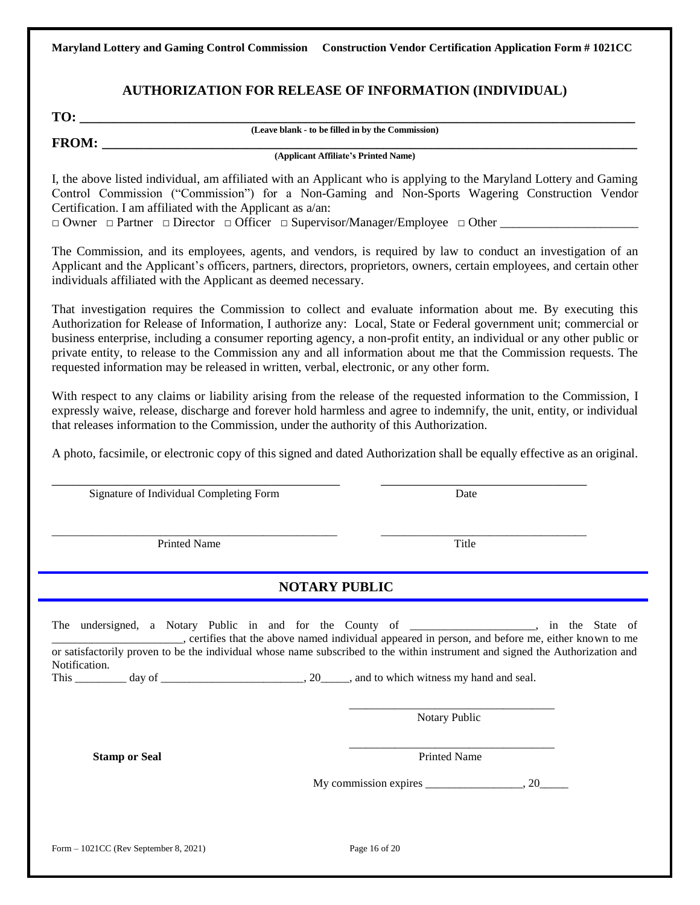### **AUTHORIZATION FOR RELEASE OF INFORMATION (INDIVIDUAL)**

**TO: \_\_\_\_\_\_\_\_\_\_\_\_\_\_\_\_\_\_\_\_\_\_\_\_\_\_\_\_\_\_\_\_\_\_\_\_\_\_\_\_\_\_\_\_\_\_\_\_\_\_\_\_\_\_\_\_\_\_\_\_\_\_\_\_\_\_\_\_\_\_\_\_\_\_\_\_\_\_\_\_\_**

**(Leave blank - to be filled in by the Commission)**

**FROM: \_\_\_\_\_\_\_\_\_\_\_\_\_\_\_\_\_\_\_\_\_\_\_\_\_\_\_\_\_\_\_\_\_\_\_\_\_\_\_\_\_\_\_\_\_\_\_\_\_\_\_\_\_\_\_\_\_\_\_\_\_\_\_\_\_\_\_\_\_\_\_\_\_\_\_\_\_\_**

**(Applicant Affiliate's Printed Name)**

I, the above listed individual, am affiliated with an Applicant who is applying to the Maryland Lottery and Gaming Control Commission ("Commission") for a Non-Gaming and Non-Sports Wagering Construction Vendor Certification. I am affiliated with the Applicant as a/an:

 $\Box$  Owner  $\Box$  Partner  $\Box$  Director  $\Box$  Officer  $\Box$  Supervisor/Manager/Employee  $\Box$  Other

The Commission, and its employees, agents, and vendors, is required by law to conduct an investigation of an Applicant and the Applicant's officers, partners, directors, proprietors, owners, certain employees, and certain other individuals affiliated with the Applicant as deemed necessary.

That investigation requires the Commission to collect and evaluate information about me. By executing this Authorization for Release of Information, I authorize any: Local, State or Federal government unit; commercial or business enterprise, including a consumer reporting agency, a non-profit entity, an individual or any other public or private entity, to release to the Commission any and all information about me that the Commission requests. The requested information may be released in written, verbal, electronic, or any other form.

With respect to any claims or liability arising from the release of the requested information to the Commission, I expressly waive, release, discharge and forever hold harmless and agree to indemnify, the unit, entity, or individual that releases information to the Commission, under the authority of this Authorization.

A photo, facsimile, or electronic copy of this signed and dated Authorization shall be equally effective as an original.

| Signature of Individual Completing Form                                                                                                                                                                                                                                                                                                           |                      | Date                |  |
|---------------------------------------------------------------------------------------------------------------------------------------------------------------------------------------------------------------------------------------------------------------------------------------------------------------------------------------------------|----------------------|---------------------|--|
| <b>Printed Name</b>                                                                                                                                                                                                                                                                                                                               |                      | Title               |  |
|                                                                                                                                                                                                                                                                                                                                                   | <b>NOTARY PUBLIC</b> |                     |  |
| The undersigned, a Notary Public in and for the County of _________________, in the State of<br>certifies that the above named individual appeared in person, and before me, either known to me<br>or satisfactorily proven to be the individual whose name subscribed to the within instrument and signed the Authorization and<br>Notification. |                      | Notary Public       |  |
| <b>Stamp or Seal</b>                                                                                                                                                                                                                                                                                                                              |                      | <b>Printed Name</b> |  |
|                                                                                                                                                                                                                                                                                                                                                   |                      |                     |  |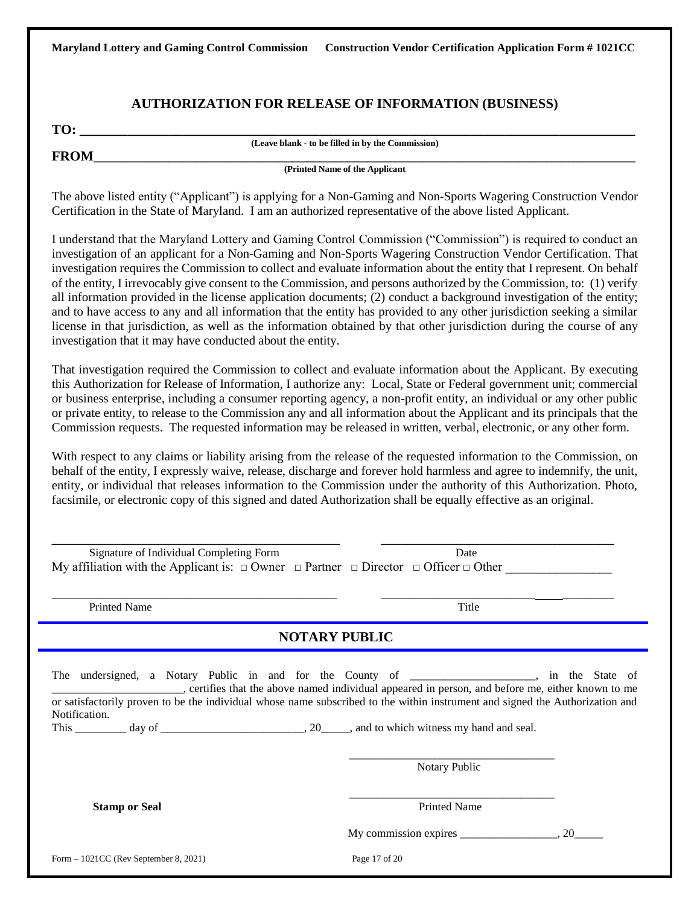### **AUTHORIZATION FOR RELEASE OF INFORMATION (BUSINESS)**

**TO: \_\_\_\_\_\_\_\_\_\_\_\_\_\_\_\_\_\_\_\_\_\_\_\_\_\_\_\_\_\_\_\_\_\_\_\_\_\_\_\_\_\_\_\_\_\_\_\_\_\_\_\_\_\_\_\_\_\_\_\_\_\_\_\_\_\_\_\_\_\_\_\_\_\_\_\_\_\_\_\_\_**

**(Leave blank - to be filled in by the Commission)**

**FROM\_\_\_\_\_\_\_\_\_\_\_\_\_\_\_\_\_\_\_\_\_\_\_\_\_\_\_\_\_\_\_\_\_\_\_\_\_\_\_\_\_\_\_\_\_\_\_\_\_\_\_\_\_\_\_\_\_\_\_\_\_\_\_\_\_\_\_\_\_\_\_\_\_\_\_\_\_\_\_**

**(Printed Name of the Applicant** 

The above listed entity ("Applicant") is applying for a Non-Gaming and Non-Sports Wagering Construction Vendor Certification in the State of Maryland. I am an authorized representative of the above listed Applicant.

I understand that the Maryland Lottery and Gaming Control Commission ("Commission") is required to conduct an investigation of an applicant for a Non-Gaming and Non-Sports Wagering Construction Vendor Certification. That investigation requires the Commission to collect and evaluate information about the entity that I represent. On behalf of the entity, I irrevocably give consent to the Commission, and persons authorized by the Commission, to: (1) verify all information provided in the license application documents; (2) conduct a background investigation of the entity; and to have access to any and all information that the entity has provided to any other jurisdiction seeking a similar license in that jurisdiction, as well as the information obtained by that other jurisdiction during the course of any investigation that it may have conducted about the entity.

That investigation required the Commission to collect and evaluate information about the Applicant. By executing this Authorization for Release of Information, I authorize any: Local, State or Federal government unit; commercial or business enterprise, including a consumer reporting agency, a non-profit entity, an individual or any other public or private entity, to release to the Commission any and all information about the Applicant and its principals that the Commission requests. The requested information may be released in written, verbal, electronic, or any other form.

With respect to any claims or liability arising from the release of the requested information to the Commission, on behalf of the entity, I expressly waive, release, discharge and forever hold harmless and agree to indemnify, the unit, entity, or individual that releases information to the Commission under the authority of this Authorization. Photo, facsimile, or electronic copy of this signed and dated Authorization shall be equally effective as an original.

| Signature of Individual Completing Form<br>My affiliation with the Applicant is: $\Box$ Owner $\Box$ Partner $\Box$ Director $\Box$ Officer $\Box$ Other                                                                                                                                                                                                      | Date                |  |
|---------------------------------------------------------------------------------------------------------------------------------------------------------------------------------------------------------------------------------------------------------------------------------------------------------------------------------------------------------------|---------------------|--|
| <b>Printed Name</b>                                                                                                                                                                                                                                                                                                                                           | Title               |  |
| <b>NOTARY PUBLIC</b>                                                                                                                                                                                                                                                                                                                                          |                     |  |
| The undersigned, a Notary Public in and for the County of _______________, in the State of _______________, certifies that the above named individual appeared in person, and before me, either known to me<br>or satisfactorily proven to be the individual whose name subscribed to the within instrument and signed the Authorization and<br>Notification. |                     |  |
|                                                                                                                                                                                                                                                                                                                                                               | Notary Public       |  |
| <b>Stamp or Seal</b>                                                                                                                                                                                                                                                                                                                                          | <b>Printed Name</b> |  |
|                                                                                                                                                                                                                                                                                                                                                               |                     |  |
| Form $-1021CC$ (Rev September 8, 2021)                                                                                                                                                                                                                                                                                                                        | Page 17 of 20       |  |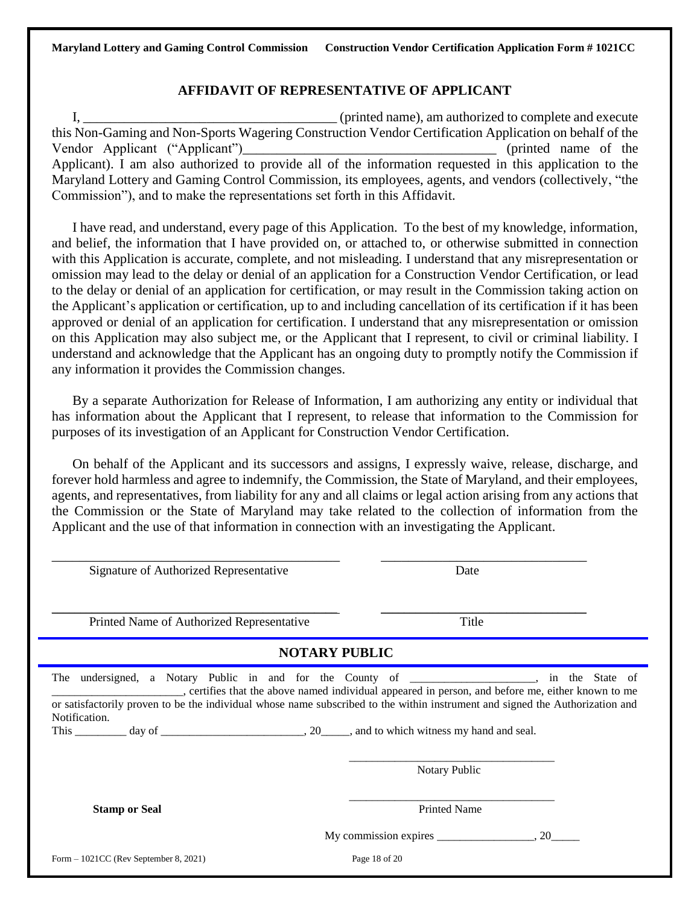### **AFFIDAVIT OF REPRESENTATIVE OF APPLICANT**

I, \_\_\_\_\_\_\_\_\_\_\_\_\_\_\_\_\_\_\_\_\_\_\_\_\_\_\_\_\_\_\_\_\_\_\_\_\_ (printed name), am authorized to complete and execute this Non-Gaming and Non-Sports Wagering Construction Vendor Certification Application on behalf of the Vendor Applicant ("Applicant")\_\_\_\_\_\_\_\_\_\_\_\_\_\_\_\_\_\_\_\_\_\_\_\_\_\_\_\_\_\_\_\_\_\_\_\_\_ (printed name of the Applicant). I am also authorized to provide all of the information requested in this application to the Maryland Lottery and Gaming Control Commission, its employees, agents, and vendors (collectively, "the Commission"), and to make the representations set forth in this Affidavit.

I have read, and understand, every page of this Application. To the best of my knowledge, information, and belief, the information that I have provided on, or attached to, or otherwise submitted in connection with this Application is accurate, complete, and not misleading. I understand that any misrepresentation or omission may lead to the delay or denial of an application for a Construction Vendor Certification, or lead to the delay or denial of an application for certification, or may result in the Commission taking action on the Applicant's application or certification, up to and including cancellation of its certification if it has been approved or denial of an application for certification. I understand that any misrepresentation or omission on this Application may also subject me, or the Applicant that I represent, to civil or criminal liability. I understand and acknowledge that the Applicant has an ongoing duty to promptly notify the Commission if any information it provides the Commission changes.

By a separate Authorization for Release of Information, I am authorizing any entity or individual that has information about the Applicant that I represent, to release that information to the Commission for purposes of its investigation of an Applicant for Construction Vendor Certification.

On behalf of the Applicant and its successors and assigns, I expressly waive, release, discharge, and forever hold harmless and agree to indemnify, the Commission, the State of Maryland, and their employees, agents, and representatives, from liability for any and all claims or legal action arising from any actions that the Commission or the State of Maryland may take related to the collection of information from the Applicant and the use of that information in connection with an investigating the Applicant.

| Signature of Authorized Representative                                                                           | Date                                                                                                                                                                                                                                                                                                                            |
|------------------------------------------------------------------------------------------------------------------|---------------------------------------------------------------------------------------------------------------------------------------------------------------------------------------------------------------------------------------------------------------------------------------------------------------------------------|
| Printed Name of Authorized Representative                                                                        | Title                                                                                                                                                                                                                                                                                                                           |
|                                                                                                                  | <b>NOTARY PUBLIC</b>                                                                                                                                                                                                                                                                                                            |
| Notification.<br>This $\_\_\_\_$ day of $\_\_\_\_\_\_\_$ , 20 $\_\_\_\$ , and to which witness my hand and seal. | The undersigned, a Notary Public in and for the County of _________________, in the State of<br>ertifies that the above named individual appeared in person, and before me, either known to me<br>or satisfactorily proven to be the individual whose name subscribed to the within instrument and signed the Authorization and |
|                                                                                                                  | Notary Public                                                                                                                                                                                                                                                                                                                   |
| <b>Stamp or Seal</b>                                                                                             | <b>Printed Name</b>                                                                                                                                                                                                                                                                                                             |
|                                                                                                                  | My commission expires $\frac{\ }{\ }$ 20                                                                                                                                                                                                                                                                                        |
| Form $-1021CC$ (Rev September 8, 2021)                                                                           | Page 18 of 20                                                                                                                                                                                                                                                                                                                   |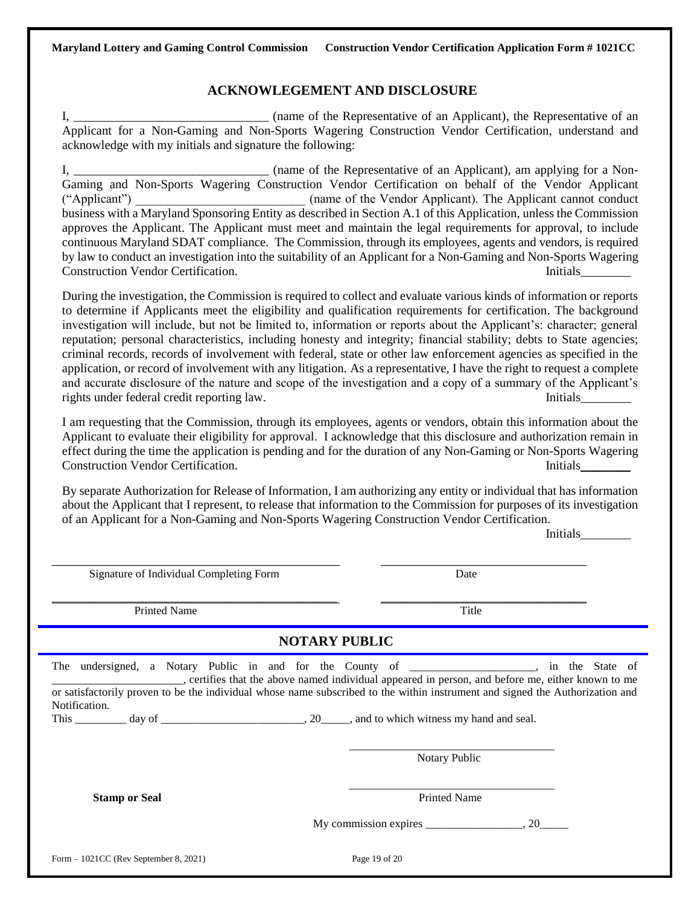### **ACKNOWLEGEMENT AND DISCLOSURE**

I, \_\_\_\_\_\_\_\_\_\_\_\_\_\_\_\_\_\_\_\_\_\_\_\_\_\_\_\_\_\_\_ (name of the Representative of an Applicant), the Representative of an Applicant for a Non-Gaming and Non-Sports Wagering Construction Vendor Certification, understand and acknowledge with my initials and signature the following:

I, \_\_\_\_\_\_\_\_\_\_\_\_\_\_\_\_\_\_\_\_\_\_\_\_\_\_\_\_\_\_\_ (name of the Representative of an Applicant), am applying for a Non-Gaming and Non-Sports Wagering Construction Vendor Certification on behalf of the Vendor Applicant ("Applicant")  $\qquad \qquad$  (name of the Vendor Applicant). The Applicant cannot conduct business with a Maryland Sponsoring Entity as described in Section A.1 of this Application, unless the Commission approves the Applicant. The Applicant must meet and maintain the legal requirements for approval, to include continuous Maryland SDAT compliance. The Commission, through its employees, agents and vendors, is required by law to conduct an investigation into the suitability of an Applicant for a Non-Gaming and Non-Sports Wagering Construction Vendor Certification. Initials\_\_\_\_\_\_\_\_

During the investigation, the Commission is required to collect and evaluate various kinds of information or reports to determine if Applicants meet the eligibility and qualification requirements for certification. The background investigation will include, but not be limited to, information or reports about the Applicant's: character; general reputation; personal characteristics, including honesty and integrity; financial stability; debts to State agencies; criminal records, records of involvement with federal, state or other law enforcement agencies as specified in the application, or record of involvement with any litigation. As a representative, I have the right to request a complete and accurate disclosure of the nature and scope of the investigation and a copy of a summary of the Applicant's rights under federal credit reporting law. Initials

I am requesting that the Commission, through its employees, agents or vendors, obtain this information about the Applicant to evaluate their eligibility for approval. I acknowledge that this disclosure and authorization remain in effect during the time the application is pending and for the duration of any Non-Gaming or Non-Sports Wagering Construction Vendor Certification. Initials\_\_\_\_\_\_\_\_

By separate Authorization for Release of Information, I am authorizing any entity or individual that has information about the Applicant that I represent, to release that information to the Commission for purposes of its investigation of an Applicant for a Non-Gaming and Non-Sports Wagering Construction Vendor Certification.

Initials\_\_\_\_\_\_\_\_

| Signature of Individual Completing Form | Date                                                                                                                                                                                                                                                                                                                                             |
|-----------------------------------------|--------------------------------------------------------------------------------------------------------------------------------------------------------------------------------------------------------------------------------------------------------------------------------------------------------------------------------------------------|
| <b>Printed Name</b>                     | Title                                                                                                                                                                                                                                                                                                                                            |
|                                         | <b>NOTARY PUBLIC</b>                                                                                                                                                                                                                                                                                                                             |
| Notification.                           | The undersigned, a Notary Public in and for the County of ________________, in the State of<br>certifies that the above named individual appeared in person, and before me, either known to me<br>or satisfactorily proven to be the individual whose name subscribed to the within instrument and signed the Authorization and<br>Notary Public |
| <b>Stamp or Seal</b>                    | <b>Printed Name</b><br>My commission expires $\frac{\ }{\ }$ , 20                                                                                                                                                                                                                                                                                |
| Form $-1021CC$ (Rev September 8, 2021)  | Page 19 of 20                                                                                                                                                                                                                                                                                                                                    |